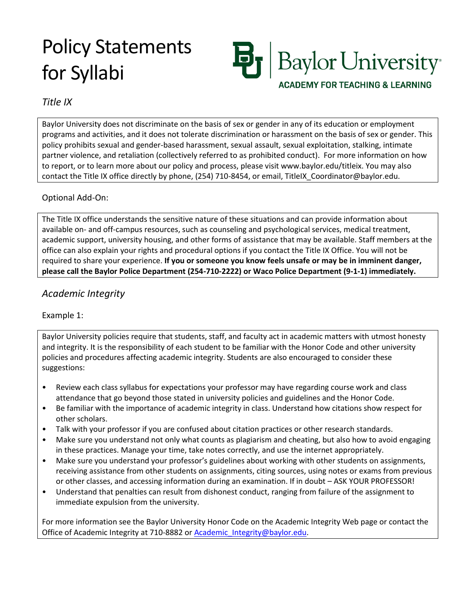# Policy Statements for Syllabi



# *Title IX*

Baylor University does not discriminate on the basis of sex or gender in any of its education or employment programs and activities, and it does not tolerate discrimination or harassment on the basis of sex or gender. This policy prohibits sexual and gender-based harassment, sexual assault, sexual exploitation, stalking, intimate partner violence, and retaliation (collectively referred to as prohibited conduct). For more information on how to report, or to learn more about our policy and process, please visit www.baylor.edu/titleix. You may also contact the Title IX office directly by phone, (254) 710-8454, or email, TitleIX Coordinator@baylor.edu.

## Optional Add-On:

The Title IX office understands the sensitive nature of these situations and can provide information about available on- and off-campus resources, such as counseling and psychological services, medical treatment, academic support, university housing, and other forms of assistance that may be available. Staff members at the office can also explain your rights and procedural options if you contact the Title IX Office. You will not be required to share your experience. **If you or someone you know feels unsafe or may be in imminent danger, please call the Baylor Police Department (254-710-2222) or Waco Police Department (9-1-1) immediately.**

# *Academic Integrity*

## Example 1:

Baylor University policies require that students, staff, and faculty act in academic matters with utmost honesty and integrity. It is the responsibility of each student to be familiar with the Honor Code and other university policies and procedures affecting academic integrity. Students are also encouraged to consider these suggestions:

- Review each class syllabus for expectations your professor may have regarding course work and class attendance that go beyond those stated in university policies and guidelines and the Honor Code.
- Be familiar with the importance of academic integrity in class. Understand how citations show respect for other scholars.
- Talk with your professor if you are confused about citation practices or other research standards.
- Make sure you understand not only what counts as plagiarism and cheating, but also how to avoid engaging in these practices. Manage your time, take notes correctly, and use the internet appropriately.
- Make sure you understand your professor's guidelines about working with other students on assignments, receiving assistance from other students on assignments, citing sources, using notes or exams from previous or other classes, and accessing information during an examination. If in doubt – ASK YOUR PROFESSOR!
- Understand that penalties can result from dishonest conduct, ranging from failure of the assignment to immediate expulsion from the university.

For more information see the Baylor University Honor Code on the Academic Integrity Web page or contact the Office of Academic Integrity at 710-8882 or Academic Integrity@baylor.edu.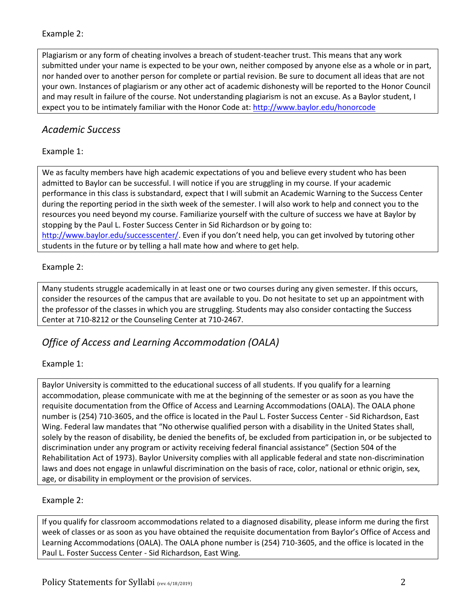## Example 2:

Plagiarism or any form of cheating involves a breach of student-teacher trust. This means that any work submitted under your name is expected to be your own, neither composed by anyone else as a whole or in part, nor handed over to another person for complete or partial revision. Be sure to document all ideas that are not your own. Instances of plagiarism or any other act of academic dishonesty will be reported to the Honor Council and may result in failure of the course. Not understanding plagiarism is not an excuse. As a Baylor student, I expect you to be intimately familiar with the Honor Code at[: http://www.baylor.edu/honorcode](http://www.baylor.edu/honorcode)

# *Academic Success*

Example 1:

We as faculty members have high academic expectations of you and believe every student who has been admitted to Baylor can be successful. I will notice if you are struggling in my course. If your academic performance in this class is substandard, expect that I will submit an Academic Warning to the Success Center during the reporting period in the sixth week of the semester. I will also work to help and connect you to the resources you need beyond my course. Familiarize yourself with the culture of success we have at Baylor by stopping by the Paul L. Foster Success Center in Sid Richardson or by going to: <http://www.baylor.edu/successcenter/>. Even if you don't need help, you can get involved by tutoring other students in the future or by telling a hall mate how and where to get help.

## Example 2:

Many students struggle academically in at least one or two courses during any given semester. If this occurs, consider the resources of the campus that are available to you. Do not hesitate to set up an appointment with the professor of the classes in which you are struggling. Students may also consider contacting the Success Center at 710-8212 or the Counseling Center at 710-2467.

# *Office of Access and Learning Accommodation (OALA)*

## Example 1:

Baylor University is committed to the educational success of all students. If you qualify for a learning accommodation, please communicate with me at the beginning of the semester or as soon as you have the requisite documentation from the Office of Access and Learning Accommodations (OALA). The OALA phone number is (254) 710-3605, and the office is located in the Paul L. Foster Success Center - Sid Richardson, East Wing. Federal law mandates that "No otherwise qualified person with a disability in the United States shall, solely by the reason of disability, be denied the benefits of, be excluded from participation in, or be subjected to discrimination under any program or activity receiving federal financial assistance" (Section 504 of the Rehabilitation Act of 1973). Baylor University complies with all applicable federal and state non-discrimination laws and does not engage in unlawful discrimination on the basis of race, color, national or ethnic origin, sex, age, or disability in employment or the provision of services.

# Example 2:

If you qualify for classroom accommodations related to a diagnosed disability, please inform me during the first week of classes or as soon as you have obtained the requisite documentation from Baylor's Office of Access and Learning Accommodations (OALA). The OALA phone number is (254) 710-3605, and the office is located in the Paul L. Foster Success Center - Sid Richardson, East Wing.